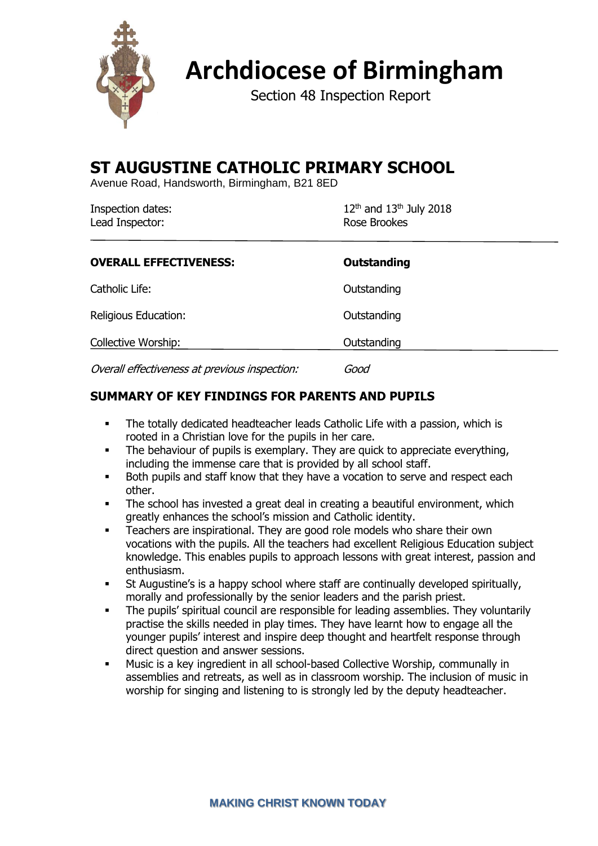

# **Archdiocese of Birmingham**

Section 48 Inspection Report

# **ST AUGUSTINE CATHOLIC PRIMARY SCHOOL**

Avenue Road, Handsworth, Birmingham, B21 8ED

| Inspection dates: | $12^{th}$ and $13^{th}$ July 2018 |
|-------------------|-----------------------------------|
| Lead Inspector:   | Rose Brookes                      |
|                   |                                   |

| <b>OVERALL EFFECTIVENESS:</b>                 | <b>Outstanding</b> |
|-----------------------------------------------|--------------------|
| Catholic Life:                                | Outstanding        |
| Religious Education:                          | Outstanding        |
| Collective Worship:                           | Outstanding        |
| Overall effectiveness at previous inspection: | Good               |

# **SUMMARY OF KEY FINDINGS FOR PARENTS AND PUPILS**

- The totally dedicated headteacher leads Catholic Life with a passion, which is rooted in a Christian love for the pupils in her care.
- **•** The behaviour of pupils is exemplary. They are quick to appreciate everything, including the immense care that is provided by all school staff.
- Both pupils and staff know that they have a vocation to serve and respect each other.
- **•** The school has invested a great deal in creating a beautiful environment, which greatly enhances the school's mission and Catholic identity.
- Teachers are inspirational. They are good role models who share their own vocations with the pupils. All the teachers had excellent Religious Education subject knowledge. This enables pupils to approach lessons with great interest, passion and enthusiasm.
- St Augustine's is a happy school where staff are continually developed spiritually, morally and professionally by the senior leaders and the parish priest.
- The pupils' spiritual council are responsible for leading assemblies. They voluntarily practise the skills needed in play times. They have learnt how to engage all the younger pupils' interest and inspire deep thought and heartfelt response through direct question and answer sessions.
- Music is a key ingredient in all school-based Collective Worship, communally in assemblies and retreats, as well as in classroom worship. The inclusion of music in worship for singing and listening to is strongly led by the deputy headteacher.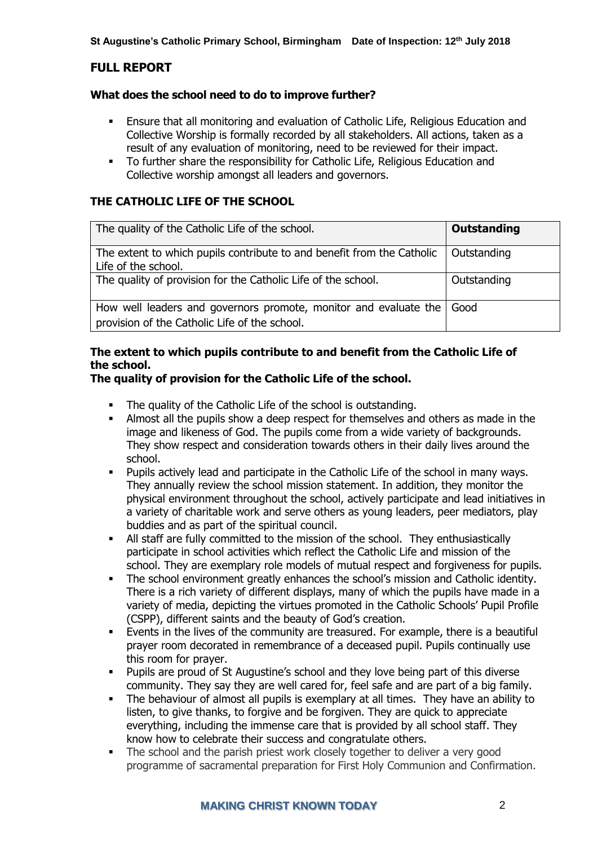# **FULL REPORT**

#### **What does the school need to do to improve further?**

- Ensure that all monitoring and evaluation of Catholic Life, Religious Education and Collective Worship is formally recorded by all stakeholders. All actions, taken as a result of any evaluation of monitoring, need to be reviewed for their impact.
- To further share the responsibility for Catholic Life, Religious Education and Collective worship amongst all leaders and governors.

# **THE CATHOLIC LIFE OF THE SCHOOL**

| The quality of the Catholic Life of the school.                                                                   | <b>Outstanding</b> |
|-------------------------------------------------------------------------------------------------------------------|--------------------|
| The extent to which pupils contribute to and benefit from the Catholic<br>Life of the school.                     | Outstanding        |
| The quality of provision for the Catholic Life of the school.                                                     | Outstanding        |
| How well leaders and governors promote, monitor and evaluate the<br>provision of the Catholic Life of the school. | l Good             |

# **The extent to which pupils contribute to and benefit from the Catholic Life of the school.**

### **The quality of provision for the Catholic Life of the school.**

- The quality of the Catholic Life of the school is outstanding.
- Almost all the pupils show a deep respect for themselves and others as made in the image and likeness of God. The pupils come from a wide variety of backgrounds. They show respect and consideration towards others in their daily lives around the school.
- Pupils actively lead and participate in the Catholic Life of the school in many ways. They annually review the school mission statement. In addition, they monitor the physical environment throughout the school, actively participate and lead initiatives in a variety of charitable work and serve others as young leaders, peer mediators, play buddies and as part of the spiritual council.
- All staff are fully committed to the mission of the school. They enthusiastically participate in school activities which reflect the Catholic Life and mission of the school. They are exemplary role models of mutual respect and forgiveness for pupils.
- The school environment greatly enhances the school's mission and Catholic identity. There is a rich variety of different displays, many of which the pupils have made in a variety of media, depicting the virtues promoted in the Catholic Schools' Pupil Profile (CSPP), different saints and the beauty of God's creation.
- **E** Events in the lives of the community are treasured. For example, there is a beautiful prayer room decorated in remembrance of a deceased pupil. Pupils continually use this room for prayer.
- Pupils are proud of St Augustine's school and they love being part of this diverse community. They say they are well cared for, feel safe and are part of a big family.
- The behaviour of almost all pupils is exemplary at all times. They have an ability to listen, to give thanks, to forgive and be forgiven. They are quick to appreciate everything, including the immense care that is provided by all school staff. They know how to celebrate their success and congratulate others.
- **•** The school and the parish priest work closely together to deliver a very good programme of sacramental preparation for First Holy Communion and Confirmation.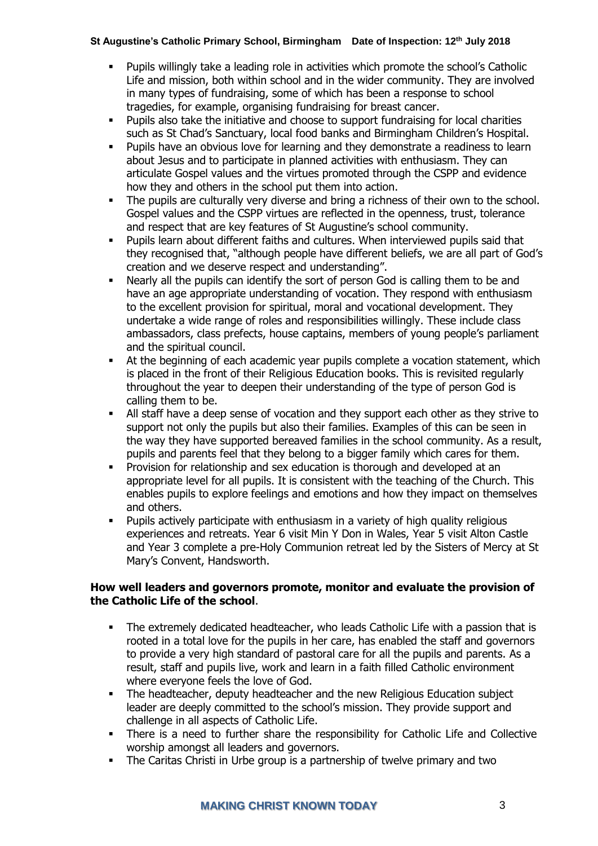- Pupils willingly take a leading role in activities which promote the school's Catholic Life and mission, both within school and in the wider community. They are involved in many types of fundraising, some of which has been a response to school tragedies, for example, organising fundraising for breast cancer.
- Pupils also take the initiative and choose to support fundraising for local charities such as St Chad's Sanctuary, local food banks and Birmingham Children's Hospital.
- Pupils have an obvious love for learning and they demonstrate a readiness to learn about Jesus and to participate in planned activities with enthusiasm. They can articulate Gospel values and the virtues promoted through the CSPP and evidence how they and others in the school put them into action.
- The pupils are culturally very diverse and bring a richness of their own to the school. Gospel values and the CSPP virtues are reflected in the openness, trust, tolerance and respect that are key features of St Augustine's school community.
- Pupils learn about different faiths and cultures. When interviewed pupils said that they recognised that, "although people have different beliefs, we are all part of God's creation and we deserve respect and understanding".
- Nearly all the pupils can identify the sort of person God is calling them to be and have an age appropriate understanding of vocation. They respond with enthusiasm to the excellent provision for spiritual, moral and vocational development. They undertake a wide range of roles and responsibilities willingly. These include class ambassadors, class prefects, house captains, members of young people's parliament and the spiritual council.
- At the beginning of each academic year pupils complete a vocation statement, which is placed in the front of their Religious Education books. This is revisited regularly throughout the year to deepen their understanding of the type of person God is calling them to be.
- All staff have a deep sense of vocation and they support each other as they strive to support not only the pupils but also their families. Examples of this can be seen in the way they have supported bereaved families in the school community. As a result, pupils and parents feel that they belong to a bigger family which cares for them.
- **•** Provision for relationship and sex education is thorough and developed at an appropriate level for all pupils. It is consistent with the teaching of the Church. This enables pupils to explore feelings and emotions and how they impact on themselves and others.
- Pupils actively participate with enthusiasm in a variety of high quality religious experiences and retreats. Year 6 visit Min Y Don in Wales, Year 5 visit Alton Castle and Year 3 complete a pre-Holy Communion retreat led by the Sisters of Mercy at St Mary's Convent, Handsworth.

# **How well leaders and governors promote, monitor and evaluate the provision of the Catholic Life of the school**.

- **•** The extremely dedicated headteacher, who leads Catholic Life with a passion that is rooted in a total love for the pupils in her care, has enabled the staff and governors to provide a very high standard of pastoral care for all the pupils and parents. As a result, staff and pupils live, work and learn in a faith filled Catholic environment where everyone feels the love of God.
- The headteacher, deputy headteacher and the new Religious Education subject leader are deeply committed to the school's mission. They provide support and challenge in all aspects of Catholic Life.
- There is a need to further share the responsibility for Catholic Life and Collective worship amongst all leaders and governors.
- The Caritas Christi in Urbe group is a partnership of twelve primary and two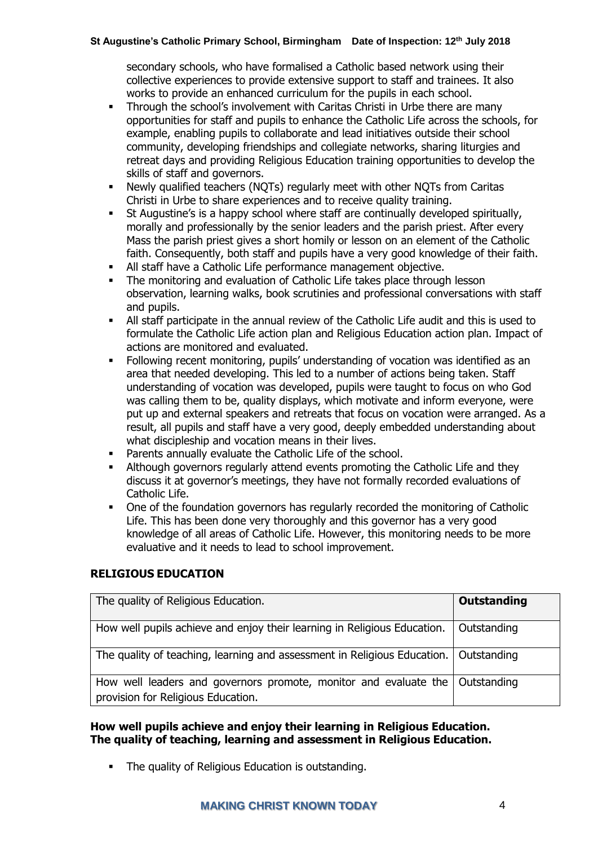secondary schools, who have formalised a Catholic based network using their collective experiences to provide extensive support to staff and trainees. It also works to provide an enhanced curriculum for the pupils in each school.

- Through the school's involvement with Caritas Christi in Urbe there are many opportunities for staff and pupils to enhance the Catholic Life across the schools, for example, enabling pupils to collaborate and lead initiatives outside their school community, developing friendships and collegiate networks, sharing liturgies and retreat days and providing Religious Education training opportunities to develop the skills of staff and governors.
- Newly qualified teachers (NQTs) regularly meet with other NQTs from Caritas Christi in Urbe to share experiences and to receive quality training.
- St Augustine's is a happy school where staff are continually developed spiritually, morally and professionally by the senior leaders and the parish priest. After every Mass the parish priest gives a short homily or lesson on an element of the Catholic faith. Consequently, both staff and pupils have a very good knowledge of their faith.
- **EXECT** All staff have a Catholic Life performance management objective.
- The monitoring and evaluation of Catholic Life takes place through lesson observation, learning walks, book scrutinies and professional conversations with staff and pupils.
- All staff participate in the annual review of the Catholic Life audit and this is used to formulate the Catholic Life action plan and Religious Education action plan. Impact of actions are monitored and evaluated.
- Following recent monitoring, pupils' understanding of vocation was identified as an area that needed developing. This led to a number of actions being taken. Staff understanding of vocation was developed, pupils were taught to focus on who God was calling them to be, quality displays, which motivate and inform everyone, were put up and external speakers and retreats that focus on vocation were arranged. As a result, all pupils and staff have a very good, deeply embedded understanding about what discipleship and vocation means in their lives.
- Parents annually evaluate the Catholic Life of the school.
- Although governors regularly attend events promoting the Catholic Life and they discuss it at governor's meetings, they have not formally recorded evaluations of Catholic Life.
- One of the foundation governors has regularly recorded the monitoring of Catholic Life. This has been done very thoroughly and this governor has a very good knowledge of all areas of Catholic Life. However, this monitoring needs to be more evaluative and it needs to lead to school improvement.

# **RELIGIOUS EDUCATION**

| The quality of Religious Education.                                                                                  | Outstanding |
|----------------------------------------------------------------------------------------------------------------------|-------------|
| How well pupils achieve and enjoy their learning in Religious Education.                                             | Outstanding |
| The quality of teaching, learning and assessment in Religious Education.   Outstanding                               |             |
| How well leaders and governors promote, monitor and evaluate the   Outstanding<br>provision for Religious Education. |             |

#### **How well pupils achieve and enjoy their learning in Religious Education. The quality of teaching, learning and assessment in Religious Education.**

▪ The quality of Religious Education is outstanding.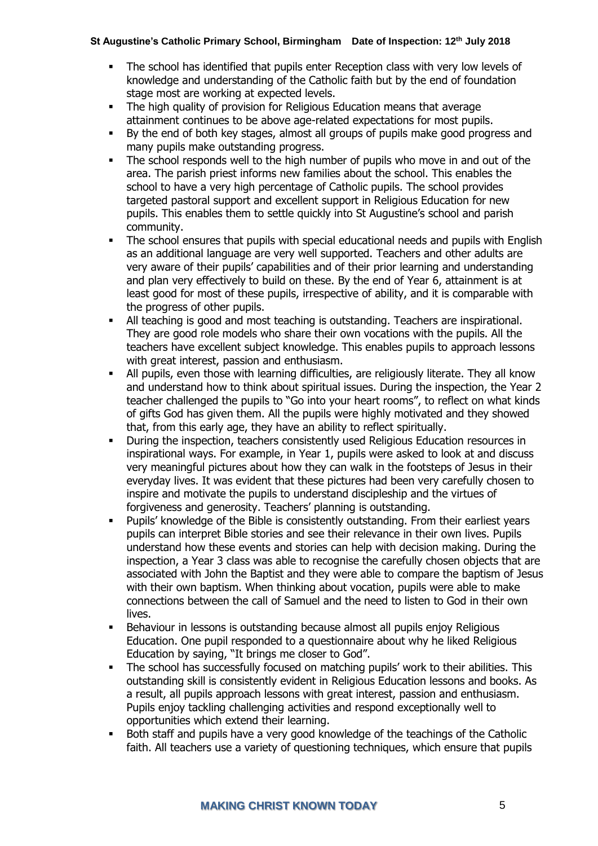- The school has identified that pupils enter Reception class with very low levels of knowledge and understanding of the Catholic faith but by the end of foundation stage most are working at expected levels.
- The high quality of provision for Religious Education means that average attainment continues to be above age-related expectations for most pupils.
- By the end of both key stages, almost all groups of pupils make good progress and many pupils make outstanding progress.
- The school responds well to the high number of pupils who move in and out of the area. The parish priest informs new families about the school. This enables the school to have a very high percentage of Catholic pupils. The school provides targeted pastoral support and excellent support in Religious Education for new pupils. This enables them to settle quickly into St Augustine's school and parish community.
- The school ensures that pupils with special educational needs and pupils with English as an additional language are very well supported. Teachers and other adults are very aware of their pupils' capabilities and of their prior learning and understanding and plan very effectively to build on these. By the end of Year 6, attainment is at least good for most of these pupils, irrespective of ability, and it is comparable with the progress of other pupils.
- All teaching is good and most teaching is outstanding. Teachers are inspirational. They are good role models who share their own vocations with the pupils. All the teachers have excellent subject knowledge. This enables pupils to approach lessons with great interest, passion and enthusiasm.
- All pupils, even those with learning difficulties, are religiously literate. They all know and understand how to think about spiritual issues. During the inspection, the Year 2 teacher challenged the pupils to "Go into your heart rooms", to reflect on what kinds of gifts God has given them. All the pupils were highly motivated and they showed that, from this early age, they have an ability to reflect spiritually.
- During the inspection, teachers consistently used Religious Education resources in inspirational ways. For example, in Year 1, pupils were asked to look at and discuss very meaningful pictures about how they can walk in the footsteps of Jesus in their everyday lives. It was evident that these pictures had been very carefully chosen to inspire and motivate the pupils to understand discipleship and the virtues of forgiveness and generosity. Teachers' planning is outstanding.
- Pupils' knowledge of the Bible is consistently outstanding. From their earliest years pupils can interpret Bible stories and see their relevance in their own lives. Pupils understand how these events and stories can help with decision making. During the inspection, a Year 3 class was able to recognise the carefully chosen objects that are associated with John the Baptist and they were able to compare the baptism of Jesus with their own baptism. When thinking about vocation, pupils were able to make connections between the call of Samuel and the need to listen to God in their own lives.
- **EXECTE FIGHTS IS EXECTED FIGHTS IS OUTSTANDING IN A LIGAN IS CONTEX EXECTED** BET BUDGERY BEIGIOUS Education. One pupil responded to a questionnaire about why he liked Religious Education by saying, "It brings me closer to God".
- **•** The school has successfully focused on matching pupils' work to their abilities. This outstanding skill is consistently evident in Religious Education lessons and books. As a result, all pupils approach lessons with great interest, passion and enthusiasm. Pupils enjoy tackling challenging activities and respond exceptionally well to opportunities which extend their learning.
- Both staff and pupils have a very good knowledge of the teachings of the Catholic faith. All teachers use a variety of questioning techniques, which ensure that pupils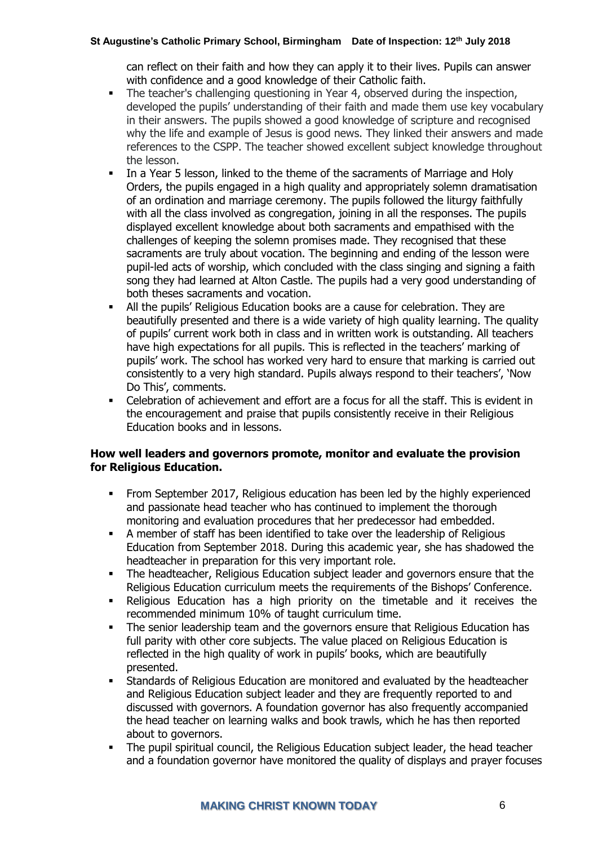can reflect on their faith and how they can apply it to their lives. Pupils can answer with confidence and a good knowledge of their Catholic faith.

- **•** The teacher's challenging questioning in Year 4, observed during the inspection, developed the pupils' understanding of their faith and made them use key vocabulary in their answers. The pupils showed a good knowledge of scripture and recognised why the life and example of Jesus is good news. They linked their answers and made references to the CSPP. The teacher showed excellent subject knowledge throughout the lesson.
- In a Year 5 lesson, linked to the theme of the sacraments of Marriage and Holy Orders, the pupils engaged in a high quality and appropriately solemn dramatisation of an ordination and marriage ceremony. The pupils followed the liturgy faithfully with all the class involved as congregation, joining in all the responses. The pupils displayed excellent knowledge about both sacraments and empathised with the challenges of keeping the solemn promises made. They recognised that these sacraments are truly about vocation. The beginning and ending of the lesson were pupil-led acts of worship, which concluded with the class singing and signing a faith song they had learned at Alton Castle. The pupils had a very good understanding of both theses sacraments and vocation.
- All the pupils' Religious Education books are a cause for celebration. They are beautifully presented and there is a wide variety of high quality learning. The quality of pupils' current work both in class and in written work is outstanding. All teachers have high expectations for all pupils. This is reflected in the teachers' marking of pupils' work. The school has worked very hard to ensure that marking is carried out consistently to a very high standard. Pupils always respond to their teachers', 'Now Do This', comments.
- Celebration of achievement and effort are a focus for all the staff. This is evident in the encouragement and praise that pupils consistently receive in their Religious Education books and in lessons.

#### **How well leaders and governors promote, monitor and evaluate the provision for Religious Education.**

- From September 2017, Religious education has been led by the highly experienced and passionate head teacher who has continued to implement the thorough monitoring and evaluation procedures that her predecessor had embedded.
- A member of staff has been identified to take over the leadership of Religious Education from September 2018. During this academic year, she has shadowed the headteacher in preparation for this very important role.
- The headteacher, Religious Education subject leader and governors ensure that the Religious Education curriculum meets the requirements of the Bishops' Conference.
- Religious Education has a high priority on the timetable and it receives the recommended minimum 10% of taught curriculum time.
- The senior leadership team and the governors ensure that Religious Education has full parity with other core subjects. The value placed on Religious Education is reflected in the high quality of work in pupils' books, which are beautifully presented.
- Standards of Religious Education are monitored and evaluated by the headteacher and Religious Education subject leader and they are frequently reported to and discussed with governors. A foundation governor has also frequently accompanied the head teacher on learning walks and book trawls, which he has then reported about to governors.
- The pupil spiritual council, the Religious Education subject leader, the head teacher and a foundation governor have monitored the quality of displays and prayer focuses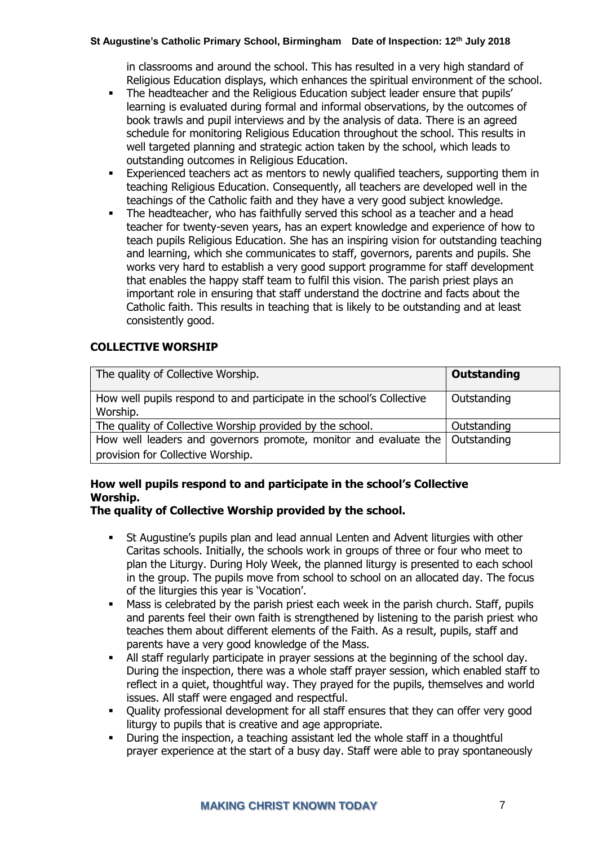in classrooms and around the school. This has resulted in a very high standard of Religious Education displays, which enhances the spiritual environment of the school.

- **•** The headteacher and the Religious Education subject leader ensure that pupils' learning is evaluated during formal and informal observations, by the outcomes of book trawls and pupil interviews and by the analysis of data. There is an agreed schedule for monitoring Religious Education throughout the school. This results in well targeted planning and strategic action taken by the school, which leads to outstanding outcomes in Religious Education.
- **Experienced teachers act as mentors to newly qualified teachers, supporting them in** teaching Religious Education. Consequently, all teachers are developed well in the teachings of the Catholic faith and they have a very good subject knowledge.
- The headteacher, who has faithfully served this school as a teacher and a head teacher for twenty-seven years, has an expert knowledge and experience of how to teach pupils Religious Education. She has an inspiring vision for outstanding teaching and learning, which she communicates to staff, governors, parents and pupils. She works very hard to establish a very good support programme for staff development that enables the happy staff team to fulfil this vision. The parish priest plays an important role in ensuring that staff understand the doctrine and facts about the Catholic faith. This results in teaching that is likely to be outstanding and at least consistently good.

# **COLLECTIVE WORSHIP**

| The quality of Collective Worship.                                                | Outstanding |
|-----------------------------------------------------------------------------------|-------------|
| How well pupils respond to and participate in the school's Collective<br>Worship. | Outstanding |
| The quality of Collective Worship provided by the school.                         | Outstanding |
| How well leaders and governors promote, monitor and evaluate the   Outstanding    |             |
| provision for Collective Worship.                                                 |             |

# **How well pupils respond to and participate in the school's Collective Worship.**

# **The quality of Collective Worship provided by the school.**

- St Augustine's pupils plan and lead annual Lenten and Advent liturgies with other Caritas schools. Initially, the schools work in groups of three or four who meet to plan the Liturgy. During Holy Week, the planned liturgy is presented to each school in the group. The pupils move from school to school on an allocated day. The focus of the liturgies this year is 'Vocation'.
- Mass is celebrated by the parish priest each week in the parish church. Staff, pupils and parents feel their own faith is strengthened by listening to the parish priest who teaches them about different elements of the Faith. As a result, pupils, staff and parents have a very good knowledge of the Mass.
- All staff regularly participate in prayer sessions at the beginning of the school day. During the inspection, there was a whole staff prayer session, which enabled staff to reflect in a quiet, thoughtful way. They prayed for the pupils, themselves and world issues. All staff were engaged and respectful.
- Quality professional development for all staff ensures that they can offer very good liturgy to pupils that is creative and age appropriate.
- During the inspection, a teaching assistant led the whole staff in a thoughtful prayer experience at the start of a busy day. Staff were able to pray spontaneously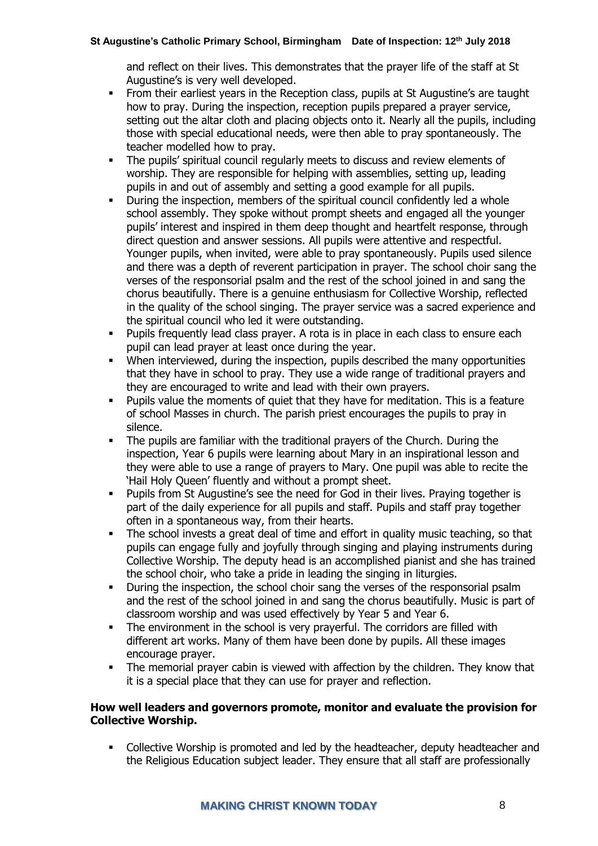and reflect on their lives. This demonstrates that the prayer life of the staff at St Augustine's is very well developed.

- **•** From their earliest years in the Reception class, pupils at St Augustine's are taught how to pray. During the inspection, reception pupils prepared a prayer service, setting out the altar cloth and placing objects onto it. Nearly all the pupils, including those with special educational needs, were then able to pray spontaneously. The teacher modelled how to pray.
- The pupils' spiritual council regularly meets to discuss and review elements of worship. They are responsible for helping with assemblies, setting up, leading pupils in and out of assembly and setting a good example for all pupils.
- During the inspection, members of the spiritual council confidently led a whole school assembly. They spoke without prompt sheets and engaged all the younger pupils' interest and inspired in them deep thought and heartfelt response, through direct question and answer sessions. All pupils were attentive and respectful. Younger pupils, when invited, were able to pray spontaneously. Pupils used silence and there was a depth of reverent participation in prayer. The school choir sang the verses of the responsorial psalm and the rest of the school joined in and sang the chorus beautifully. There is a genuine enthusiasm for Collective Worship, reflected in the quality of the school singing. The prayer service was a sacred experience and the spiritual council who led it were outstanding.
- Pupils frequently lead class prayer. A rota is in place in each class to ensure each pupil can lead prayer at least once during the year.
- When interviewed, during the inspection, pupils described the many opportunities that they have in school to pray. They use a wide range of traditional prayers and they are encouraged to write and lead with their own prayers.
- Pupils value the moments of quiet that they have for meditation. This is a feature of school Masses in church. The parish priest encourages the pupils to pray in silence.
- The pupils are familiar with the traditional prayers of the Church. During the inspection, Year 6 pupils were learning about Mary in an inspirational lesson and they were able to use a range of prayers to Mary. One pupil was able to recite the 'Hail Holy Queen' fluently and without a prompt sheet.
- Pupils from St Augustine's see the need for God in their lives. Praying together is part of the daily experience for all pupils and staff. Pupils and staff pray together often in a spontaneous way, from their hearts.
- The school invests a great deal of time and effort in quality music teaching, so that pupils can engage fully and joyfully through singing and playing instruments during Collective Worship. The deputy head is an accomplished pianist and she has trained the school choir, who take a pride in leading the singing in liturgies.
- **•** During the inspection, the school choir sang the verses of the responsorial psalm and the rest of the school joined in and sang the chorus beautifully. Music is part of classroom worship and was used effectively by Year 5 and Year 6.
- The environment in the school is very prayerful. The corridors are filled with different art works. Many of them have been done by pupils. All these images encourage prayer.
- The memorial prayer cabin is viewed with affection by the children. They know that it is a special place that they can use for prayer and reflection.

#### **How well leaders and governors promote, monitor and evaluate the provision for Collective Worship.**

▪ Collective Worship is promoted and led by the headteacher, deputy headteacher and the Religious Education subject leader. They ensure that all staff are professionally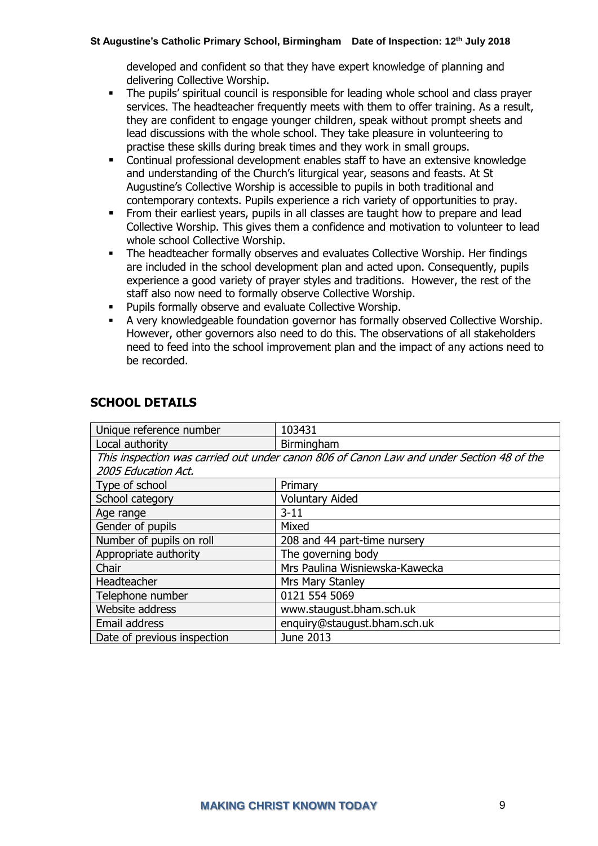developed and confident so that they have expert knowledge of planning and delivering Collective Worship.

- **•** The pupils' spiritual council is responsible for leading whole school and class prayer services. The headteacher frequently meets with them to offer training. As a result, they are confident to engage younger children, speak without prompt sheets and lead discussions with the whole school. They take pleasure in volunteering to practise these skills during break times and they work in small groups.
- Continual professional development enables staff to have an extensive knowledge and understanding of the Church's liturgical year, seasons and feasts. At St Augustine's Collective Worship is accessible to pupils in both traditional and contemporary contexts. Pupils experience a rich variety of opportunities to pray.
- From their earliest years, pupils in all classes are taught how to prepare and lead Collective Worship. This gives them a confidence and motivation to volunteer to lead whole school Collective Worship.
- The headteacher formally observes and evaluates Collective Worship. Her findings are included in the school development plan and acted upon. Consequently, pupils experience a good variety of prayer styles and traditions. However, the rest of the staff also now need to formally observe Collective Worship.
- Pupils formally observe and evaluate Collective Worship.
- A very knowledgeable foundation governor has formally observed Collective Worship. However, other governors also need to do this. The observations of all stakeholders need to feed into the school improvement plan and the impact of any actions need to be recorded.

| Unique reference number                                                                  | 103431                         |
|------------------------------------------------------------------------------------------|--------------------------------|
| Local authority                                                                          | Birmingham                     |
| This inspection was carried out under canon 806 of Canon Law and under Section 48 of the |                                |
| 2005 Education Act.                                                                      |                                |
| Type of school                                                                           | Primary                        |
| School category                                                                          | <b>Voluntary Aided</b>         |
| Age range                                                                                | $3 - 11$                       |
| Gender of pupils                                                                         | Mixed                          |
| Number of pupils on roll                                                                 | 208 and 44 part-time nursery   |
| Appropriate authority                                                                    | The governing body             |
| Chair                                                                                    | Mrs Paulina Wisniewska-Kawecka |
| Headteacher                                                                              | Mrs Mary Stanley               |
| Telephone number                                                                         | 0121 554 5069                  |
| Website address                                                                          | www.staugust.bham.sch.uk       |
| Email address                                                                            | enquiry@staugust.bham.sch.uk   |
| Date of previous inspection                                                              | June 2013                      |

# **SCHOOL DETAILS**